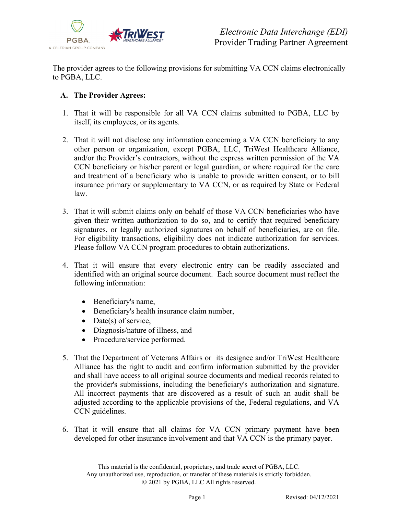

The provider agrees to the following provisions for submitting VA CCN claims electronically to PGBA, LLC.

## **A. The Provider Agrees:**

- 1. That it will be responsible for all VA CCN claims submitted to PGBA, LLC by itself, its employees, or its agents.
- 2. That it will not disclose any information concerning a VA CCN beneficiary to any other person or organization, except PGBA, LLC, TriWest Healthcare Alliance, and/or the Provider's contractors, without the express written permission of the VA CCN beneficiary or his/her parent or legal guardian, or where required for the care and treatment of a beneficiary who is unable to provide written consent, or to bill insurance primary or supplementary to VA CCN, or as required by State or Federal law.
- 3. That it will submit claims only on behalf of those VA CCN beneficiaries who have given their written authorization to do so, and to certify that required beneficiary signatures, or legally authorized signatures on behalf of beneficiaries, are on file. For eligibility transactions, eligibility does not indicate authorization for services. Please follow VA CCN program procedures to obtain authorizations.
- 4. That it will ensure that every electronic entry can be readily associated and identified with an original source document. Each source document must reflect the following information:
	- Beneficiary's name,
	- Beneficiary's health insurance claim number,
	- Date(s) of service,
	- Diagnosis/nature of illness, and
	- Procedure/service performed.
- 5. That the Department of Veterans Affairs or its designee and/or TriWest Healthcare Alliance has the right to audit and confirm information submitted by the provider and shall have access to all original source documents and medical records related to the provider's submissions, including the beneficiary's authorization and signature. All incorrect payments that are discovered as a result of such an audit shall be adjusted according to the applicable provisions of the, Federal regulations, and VA CCN guidelines.
- 6. That it will ensure that all claims for VA CCN primary payment have been developed for other insurance involvement and that VA CCN is the primary payer.

This material is the confidential, proprietary, and trade secret of PGBA, LLC. Any unauthorized use, reproduction, or transfer of these materials is strictly forbidden. 2021 by PGBA, LLC All rights reserved.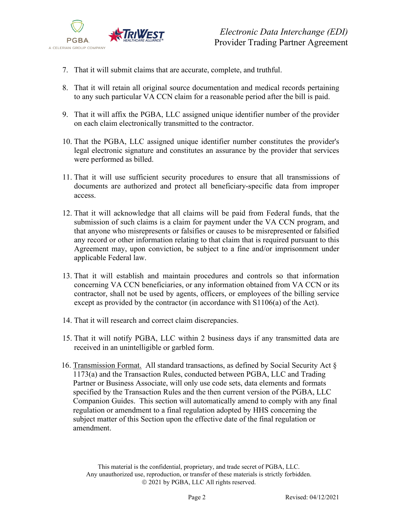

- 7. That it will submit claims that are accurate, complete, and truthful.
- 8. That it will retain all original source documentation and medical records pertaining to any such particular VA CCN claim for a reasonable period after the bill is paid.
- 9. That it will affix the PGBA, LLC assigned unique identifier number of the provider on each claim electronically transmitted to the contractor.
- 10. That the PGBA, LLC assigned unique identifier number constitutes the provider's legal electronic signature and constitutes an assurance by the provider that services were performed as billed.
- 11. That it will use sufficient security procedures to ensure that all transmissions of documents are authorized and protect all beneficiary-specific data from improper access.
- 12. That it will acknowledge that all claims will be paid from Federal funds, that the submission of such claims is a claim for payment under the VA CCN program, and that anyone who misrepresents or falsifies or causes to be misrepresented or falsified any record or other information relating to that claim that is required pursuant to this Agreement may, upon conviction, be subject to a fine and/or imprisonment under applicable Federal law.
- 13. That it will establish and maintain procedures and controls so that information concerning VA CCN beneficiaries, or any information obtained from VA CCN or its contractor, shall not be used by agents, officers, or employees of the billing service except as provided by the contractor (in accordance with S1106(a) of the Act).
- 14. That it will research and correct claim discrepancies.
- 15. That it will notify PGBA, LLC within 2 business days if any transmitted data are received in an unintelligible or garbled form.
- 16. Transmission Format. All standard transactions, as defined by Social Security Act § 1173(a) and the Transaction Rules, conducted between PGBA, LLC and Trading Partner or Business Associate, will only use code sets, data elements and formats specified by the Transaction Rules and the then current version of the PGBA, LLC Companion Guides. This section will automatically amend to comply with any final regulation or amendment to a final regulation adopted by HHS concerning the subject matter of this Section upon the effective date of the final regulation or amendment.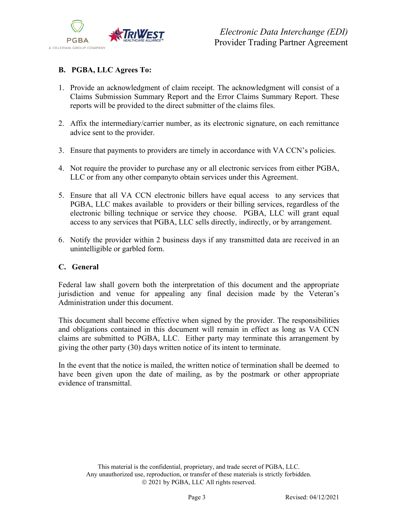

## **B. PGBA, LLC Agrees To:**

- 1. Provide an acknowledgment of claim receipt. The acknowledgment will consist of a Claims Submission Summary Report and the Error Claims Summary Report. These reports will be provided to the direct submitter of the claims files.
- 2. Affix the intermediary/carrier number, as its electronic signature, on each remittance advice sent to the provider.
- 3. Ensure that payments to providers are timely in accordance with VA CCN's policies.
- 4. Not require the provider to purchase any or all electronic services from either PGBA, LLC or from any other companyto obtain services under this Agreement.
- 5. Ensure that all VA CCN electronic billers have equal access to any services that PGBA, LLC makes available to providers or their billing services, regardless of the electronic billing technique or service they choose. PGBA, LLC will grant equal access to any services that PGBA, LLC sells directly, indirectly, or by arrangement.
- 6. Notify the provider within 2 business days if any transmitted data are received in an unintelligible or garbled form.

## **C. General**

Federal law shall govern both the interpretation of this document and the appropriate jurisdiction and venue for appealing any final decision made by the Veteran's Administration under this document.

This document shall become effective when signed by the provider. The responsibilities and obligations contained in this document will remain in effect as long as VA CCN claims are submitted to PGBA, LLC. Either party may terminate this arrangement by giving the other party (30) days written notice of its intent to terminate.

In the event that the notice is mailed, the written notice of termination shall be deemed to have been given upon the date of mailing, as by the postmark or other appropriate evidence of transmittal.